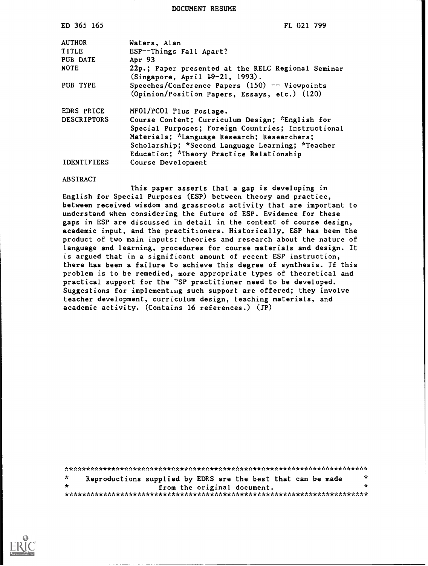DOCUMENT RESUME

| ED 365 165         | FL 021 799                                                                                        |
|--------------------|---------------------------------------------------------------------------------------------------|
| <b>AUTHOR</b>      | Waters, Alan                                                                                      |
| TITLE              | ESP--Things Fall Apart?                                                                           |
| PUB DATE           | Apr 93                                                                                            |
| <b>NOTE</b>        | 22p.; Paper presented at the RELC Regional Seminar<br>(Singapore, April 19-21, 1993).             |
| PUB TYPE           | Speeches/Conference Papers $(150)$ -- Viewpoints<br>(Opinion/Position Papers, Essays, etc.) (120) |
| EDRS PRICE         | MF01/PC01 Plus Postage.                                                                           |
| <b>DESCRIPTORS</b> | Course Content; Curriculum Design; *English for                                                   |
|                    | Special Purposes; Foreign Countries; Instructional                                                |
|                    | Materials; *Language Research; Researchers;                                                       |
|                    | Scholarship; *Second Language Learning; *Teacher                                                  |
|                    | Education; *Theory Practice Relationship                                                          |
| <b>IDENTIFIERS</b> | Course Development                                                                                |

#### ABSTRACT

This paper asserts that a gap is developing in English for Special Purposes (ESP) between theory and practice, between received wisdom and grassroots activity that are important to understand when considering the future of ESP. Evidence for these gaps in ESP are discussed in detail in the context of course design, academic input, and the practitioners. Historically, ESP has been the product of two main inputs: theories and research about the nature of language and learning, procedures for course materials and design. It is argued that in a significant amount of recent ESP instruction, there has been a failure to achieve this degree of synthesis. If this problem is to be remedied, more appropriate types of theoretical and practical support for the "SP practitioner need to be developed. Suggestions for implementing such support are offered; they involve teacher development, curriculum design, teaching materials, and academic activity. (Contains 16 references.) (JP)

\*\*\*\*\*\*\*\*\*\*\*\*\*\*\*\*\*\*\*\*\*\*\*\*\*\*\*\*\*\*\*\*\*\*\*\*\*\*\*\*\*\*\*\*\*\*\*\*\*\*\*\*\*\*\*\*\*\*\*\*\*\*\*\*\*\*\*\*\*\*\*  $\mathbf{r}$ Reproductions supplied by EDRS are the best that can be made  $\frac{x}{x}$ from the original document. \*\*\*\*\*\*\*\*\*\*\*\*\*\*\*\*\*\*\*\*\*\*\*\*\*\*\*\*\*\*\*\*\*\*\*\*\*\*\*\*\*\*\*\*\*\*\*\*\*\*\*\*\*\*\*\*\*\*\*\*\*\*\*\*\*\*\*\*\*\*\*

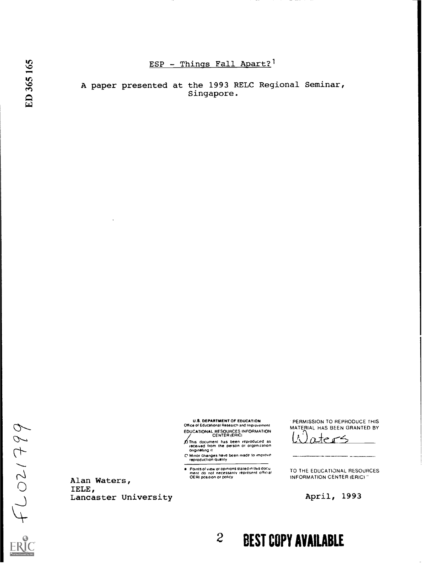# ESP - Things Fall Apart?<sup>1</sup>

A paper presented at the 1993 RELC Regional Seminar, Singapore.

> U.S. DEPARTMENT OF EDUCATION Office 0 Educabonal Research and Improvement EDUCATIONAL RESOURCES INFORMATION CENTER (ERIC)

of This document has been reproduced as<br>received from the person or organization<br>organization<br>O Minor changes have been made to improve<br>reproduction quality

Points of view or opinions slated in this docu<br>ment: do: not: necessarily: represent: official<br>OERI position or policy

TO THE EDUCATIONAL RESOURCES INFORMATION CENTER (ERIC)

 $\sim$ 

PERMISSION TO REPRODUCE THIS MATERIAL HAS BEEN GRANTED BY <u>ter</u>-

April, 1993

2 BEST COPY AVAILABLE

Alan Waters, IELE, Lancaster University

 $66612071$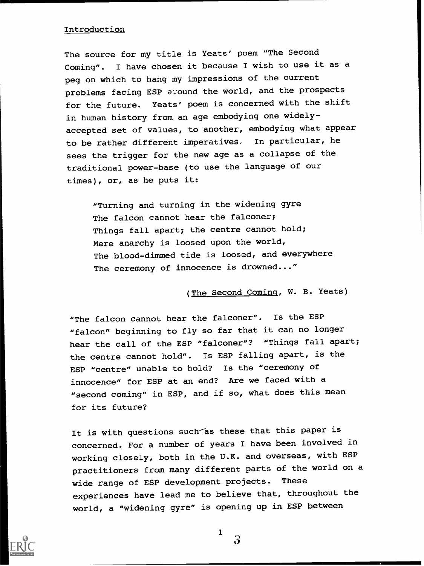# Introduction

The source for my title is Yeats' poem "The Second Coming". I have chosen it because I wish to use it as a peg on which to hang my impressions of the current problems facing ESP around the world, and the prospects for the future. Yeats' poem is concerned with the shift in human history from an age embodying one widelyaccepted set of values, to another, embodying what appear to be rather different imperatives. In particular, he sees the trigger for the new age as a collapse of the traditional power-base (to use the language of our times), or, as he puts it:

"Turning and turning in the widening gyre The falcon cannot hear the falconer; Things fall apart; the centre cannot hold; Mere anarchy is loosed upon the world, The blood-dimmed tide is loosed, and everywhere The ceremony of innocence is drowned..."

(The Second Coming, W. B. Yeats)

"The falcon cannot hear the falconer". Is the ESP "falcon" beginning to fly so far that it can no longer hear the call of the ESP "falconer"? "Things fall apart; the centre cannot hold". Is ESP falling apart, is the ESP "centre" unable to hold? Is the "ceremony of innocence" for ESP at an end? Are we faced with a "second coming" in ESP, and if so, what does this mean for its future?

It is with questions such as these that this paper is concerned. For a number of years I have been involved in working closely, both in the U.K. and overseas, with ESP practitioners from many different parts of the world on a wide range of ESP development projects. These experiences have lead me to believe that, throughout the world, a "widening gyre" is opening up in ESP between



 $\Omega$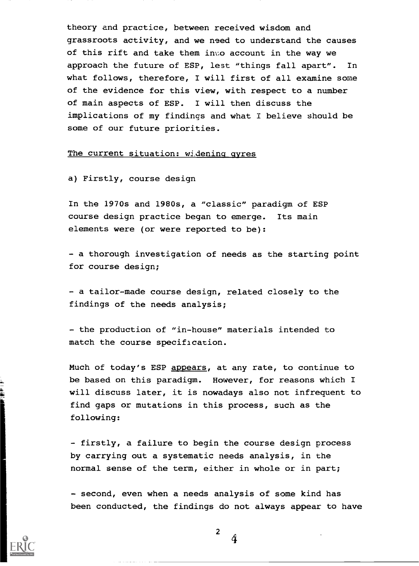theory and practice, between received wisdom and grassroots activity, and we need to understand the causes of this rift and take them into account in the way we approach the future of ESP, lest "things fall apart". In what follows, therefore, I will first of all examine some of the evidence for this view, with respect to a number of main aspects of ESP. I will then discuss the implications of my findings and what I believe should be some of our future priorities.

## The current situation: widening gyres

a) Firstly, course design

In the 1970s and 1980s, a "classic" paradigm of ESP course design practice began to emerge. Its main elements were (or were reported to be):

- a thorough investigation of needs as the starting point for course design;

- a tailor-made course design, related closely to the findings of the needs analysis;

- the production of "in-house" materials intended to match the course specification.

Much of today's ESP appears, at any rate, to continue to be based on this paradigm. However, for reasons which I will discuss later, it is nowadays also not infrequent to find gaps or mutations in this process, such as the following:

- firstly, a failure to begin the course design process by carrying out a systematic needs analysis, in the normal sense of the term, either in whole or in part;

- second, even when a needs analysis of some kind has been conducted, the findings do not always appear to have



 $\mathbf{a}$ re=

> $\overline{2}$  $\Delta$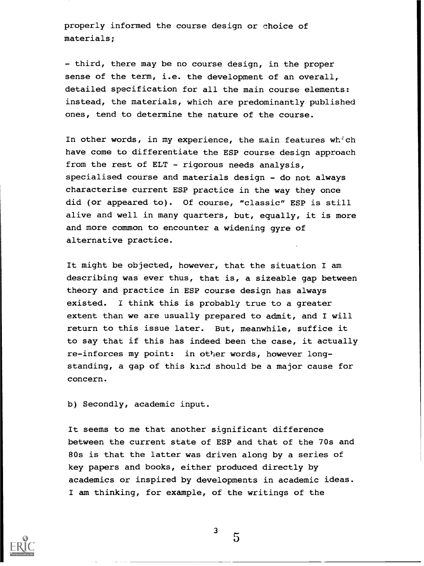properly informed the course design or choice of materials;

- third, there may be no course design, in the proper sense of the term, i.e. the development of an overall, detailed specification for all the main course elements: instead, the materials, which are predominantly published ones, tend to determine the nature of the course.

In other words, in my experience, the main features which have come to differentiate the ESP course design approach from the rest of ELT - rigorous needs analysis, specialised course and materials design - do not always characterise current ESP practice in the way they once did (or appeared to). Of course, "classic" ESP is still alive and well in many quarters, but, equally, it is more and more common to encounter a widening gyre of alternative practice.

It might be objected, however, that the situation I am describing was ever thus, that is, a sizeable gap between theory and practice in ESP course design has always existed. I think this is probably true to a greater extent than we are usually prepared to admit, and I will return to this issue later. But, meanwhile, suffice it to say that if this has indeed been the case, it actually re-inforces my point: in other words, however longstanding, a gap of this kind should be a major cause for concern.

b) Secondly, academic input.

It seems to me that another significant difference between the current state of ESP and that of the 70s and 80s is that the latter was driven along by a series of key papers and books, either produced directly by academics or inspired by developments in academic ideas. I am thinking, for example, of the writings of the



3

 $5\overline{ }$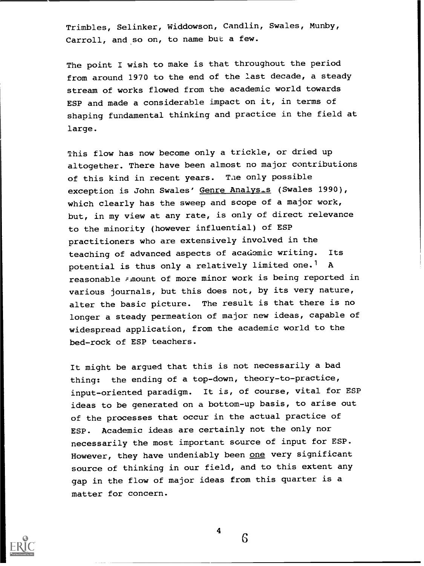Trimbles, Selinker, Widdowson, Candlin, Swales, Munby, Carroll, and so on, to name but a few.

The point I wish to make is that throughout the period from around 1970 to the end of the last decade, a steady stream of works flowed from the academic world towards ESP and made a considerable impact on it, in terms of shaping fundamental thinking and practice in the field at large.

This flow has now become only a trickle, or dried up altogether. There have been almost no major contributions of this kind in recent years. Tae only possible exception is John Swales' Genre Analys.s (Swales 1990), which clearly has the sweep and scope of a major work, but, in my view at any rate, is only of direct relevance to the minority (however influential) of ESP practitioners who are extensively involved in the teaching of advanced aspects of academic writing. Its potential is thus only a relatively limited one.<sup>1</sup> A reasonable *Fi*nount of more minor work is being reported in various journals, but this does not, by its very nature, alter the basic picture. The result is that there is no longer a steady permeation of major new ideas, capable of widespread application, from the academic world to the bed-rock of ESP teachers.

It might be argued that this is not necessarily a bad thing: the ending of a top-down, theory-to-practice, input-oriented paradigm. It is, of course, vital for ESP ideas to be generated on a bottom-up basis, to arise out of the processes that occur in the actual practice of ESP. Academic ideas are certainly not the only nor necessarily the most important source of input for ESP. However, they have undeniably been one very significant source of thinking in our field, and to this extent any gap in the flow of major ideas from this quarter is a matter for concern.



6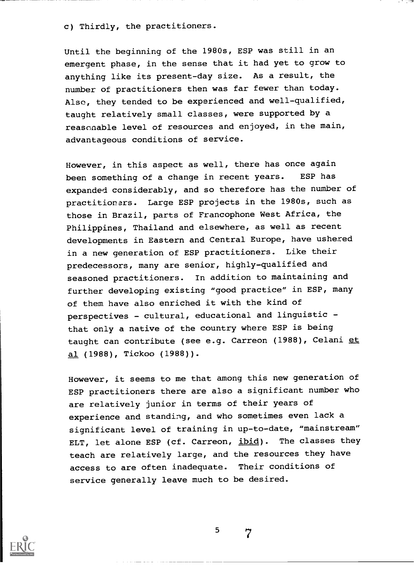c) Thirdly, the practitioners.

Until the beginning of the 1980s, ESP was still in an emergent phase, in the sense that it had yet to grow to anything like its present-day size. As a result, the number of practitioners then was far fewer than today. Also, they tended to be experienced and well-qualified, taught relatively small classes, were supported by a reasonable level of resources and enjoyed, in the main, advantageous conditions of service.

However, in this aspect as well, there has once again been something of a change in recent years. ESP has expanded considerably, and so therefore has the number of practitioners. Large ESP projects in the 1980s, such as those in Brazil, parts of Francophone West Africa, the Philippines, Thailand and elsewhere, as well as recent developments in Eastern and Central Europe, have ushered in a new generation of ESP practitioners. Like their predecessors, many are senior, highly-qualified and seasoned practitioners. In addition to maintaining and further developing existing "good practice" in ESP, many of them have also enriched it with the kind of perspectives - cultural, educational and linguistic that only a native of the country where ESP is being taught can contribute (see e.g. Carreon (1988), Celani et al (1988), Tickoo (1988)).

However, it seems to me that among this new generation of ESP practitioners there are also a significant number who are relatively junior in terms of their years of experience and standing, and who sometimes even lack a significant level of training in up-to-date, "mainstream" ELT, let alone ESP (cf. Carreon, ibid). The classes they teach are relatively large, and the resources they have access to are often inadequate. Their conditions of service generally leave much to be desired.



7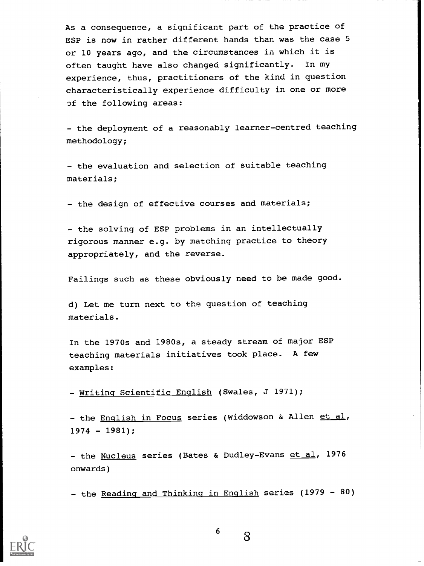As a consequence, a significant part of the practice of ESP is now in rather different hands than was the case 5 or 10 years ago, and the circumstances in which it is often taught have also changed significantly. In my experience, thus, practitioners of the kind in question characteristically experience difficulty in one or more of the following areas:

- the deployment of a reasonably learner-centred teaching methodology;

- the evaluation and selection of suitable teaching materials;

- the design of effective courses and materials;

- the solving of ESP problems in an intellectually rigorous manner e.g. by matching practice to theory appropriately, and the reverse.

Failings such as these obviously need to be made good.

d) Let me turn next to the question of teaching materials.

In the 1970s and 1980s, a steady stream of major ESP teaching materials initiatives took place. A few examples:

- Writing Scientific English (Swales, J 1971);

- the English in Focus series (Widdowson & Allen et al,  $1974 - 1981$ ;

- the Nucleus series (Bates & Dudley-Evans et al, 1976 onwards)

- the Reading and Thinking in English series (1979 - 80)



6

 $8\phantom{1}$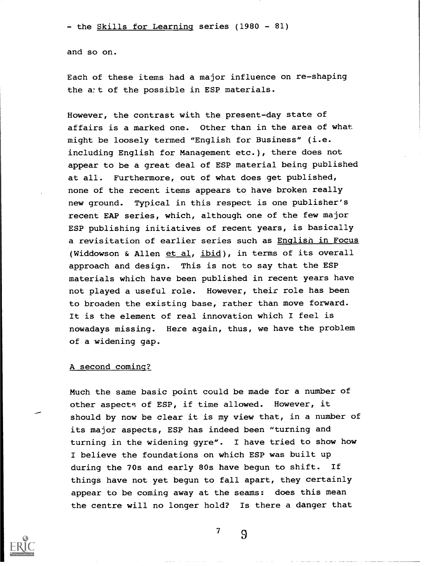- the Skills for Learning series (1980 - 81)

and so on.

Each of these items had a major influence on re-shaping the att of the possible in ESP materials.

However, the contrast with the present-day state of affairs is a marked one. Other than in the area of what might be loosely termed "English for Business" (i.e. including English for Management etc.), there does not appear to be a great deal of ESP material being published at all. Furthermore, out of what does get published, none of the recent items appears to have broken really new ground. Typical in this respect is one publisher's recent EAP series, which, although one of the few major ESP publishing initiatives of recent years, is basically a revisitation of earlier series such as English in Focus (Widdowson & Allen et al, ibid), in terms of its overall approach and design. This is not to say that the ESP materials which have been published in recent years have not played a useful role. However, their role has been to broaden the existing base, rather than move forward. It is the element of real innovation which I feel is nowadays missing. Here again, thus, we have the problem of a widening gap.

#### A second coming?

Much the same basic point could be made for a number of other aspects of ESP, if time allowed. However, it should by now be clear it is my view that, in a number of its major aspects, ESP has indeed been "turning and turning in the widening gyre". I have tried to show how I believe the foundations on which ESP was built up during the 70s and early 80s have begun to shift. If things have not yet begun to fall apart, they certainly appear to be coming away at the seams: does this mean the centre will no longer hold? Is there a danger that



 $7 \qquad \qquad$  9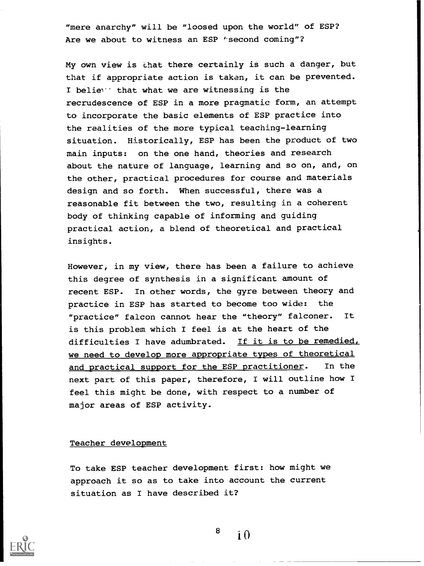"mere anarchy" will be "loosed upon the world" of ESP? Are we about to witness an ESP 'second coming"?

My own view is chat there certainly is such a danger, but that if appropriate action is taken, it can be prevented. I beliey that what we are witnessing is the recrudescence of ESP in a more pragmatic form, an attempt to incorporate the basic elements of ESP practice into the realities of the more typical teaching-learning situation. Historically, ESP has been the product of two main inputs: on the one hand, theories and research about the nature of language, learning and so on, and, on the other, practical procedures for course and materials design and so forth. When successful, there was a reasonable fit between the two, resulting in a coherent body of thinking capable of informing and guiding practical action, a blend of theoretical and practical insights.

However, in my view, there has been a failure to achieve this degree of synthesis in a significant amount of recent ESP. In other words, the gyre between theory and practice in ESP has started to become too wide: the "practice" falcon cannot hear the "theory" falconer. It is this problem which I feel is at the heart of the difficulties I have adumbrated. If it is to be remedied, we need to develop more appropriate types of theoretical and practical support for the ESP practitioner. In the next part of this paper, therefore, I will outline how I feel this might be done, with respect to a number of major areas of ESP activity.

### Teacher development

To take ESP teacher development first: how might we approach it so as to take into account the current situation as I have described it?



8

 $\mathbf{i} \mathbf{0}$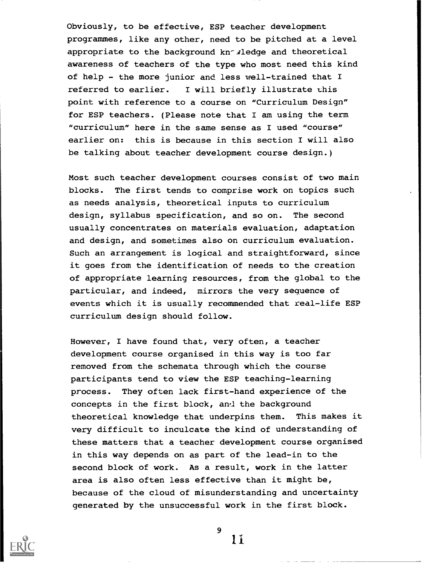Obviously, to be effective, ESP teacher development programmes, like any other, need to be pitched at a level appropriate to the background kn<sup>-</sup> sledge and theoretical awareness of teachers of the type who most need this kind of help - the more junior and less well-trained that I referred to earlier. I will briefly illustrate this point with reference to a course on "Curriculum Design" for ESP teachers. (Please note that I am using the term "curriculum" here in the same sense as I used "course" earlier on: this is because in this section I will also be talking about teacher development course design.)

Most such teacher development courses consist of two main blocks. The first tends to comprise work on topics such as needs analysis, theoretical inputs to curriculum design, syllabus specification, and so on. The second usually concentrates on materials evaluation, adaptation and design, and sometimes also on curriculum evaluation. Such an arrangement is logical and straightforward, since it goes from the identification of needs to the creation of appropriate learning resources, from the global to the particular, and indeed, mirrors the very sequence of events which it is usually recommended that real-life ESP curriculum design should follow.

However, I have found that, very often, a teacher development course organised in this way is too far removed from the schemata through which the course participants tend to view the ESP teaching-learning process. They often lack first-hand experience of the concepts in the first block, ancl the background theoretical knowledge that underpins them. This makes it very difficult to inculcate the kind of understanding of these matters that a teacher development course organised in this way depends on as part of the lead-in to the second block of work. As a result, work in the latter area is also often less effective than it might be, because of the cloud of misunderstanding and uncertainty generated by the unsuccessful work in the first block.



9 ii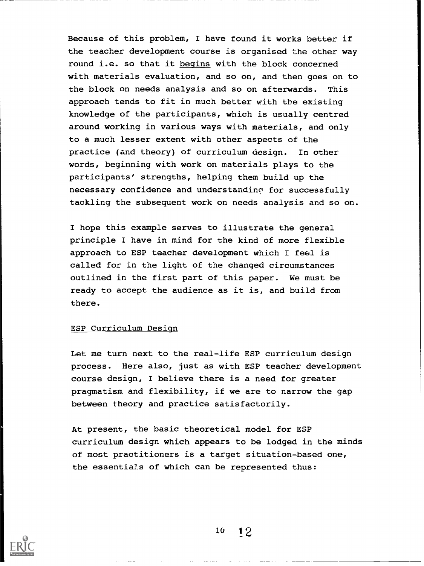Because of this problem, I have found it works better if the teacher development course is organised the other way round i.e. so that it begins with the block concerned with materials evaluation, and so on, and then goes on to the block on needs analysis and so on afterwards. This approach tends to fit in much better with the existing knowledge of the participants, which is usually centred around working in various ways with materials, and only to a much lesser extent with other aspects of the practice (and theory) of curriculum design. In other words, beginning with work on materials plays to the participants' strengths, helping them build up the necessary confidence and understanding for successfully tackling the subsequent work on needs analysis and so on.

I hope this example serves to illustrate the general principle I have in mind for the kind of more flexible approach to ESP teacher development which I feel is called for in the light of the changed circumstances outlined in the first part of this paper. We must be ready to accept the audience as it is, and build from there.

#### ESP Curriculum Design

Let me turn next to the real-life ESP curriculum design process. Here also, just as with ESP teacher development course design, I believe there is a need for greater pragmatism and flexibility, if we are to narrow the gap between theory and practice satisfactorily.

At present, the basic theoretical model for ESP curriculum design which appears to be lodged in the minds of most practitioners is a target situation-based one, the essentials of which can be represented thus:

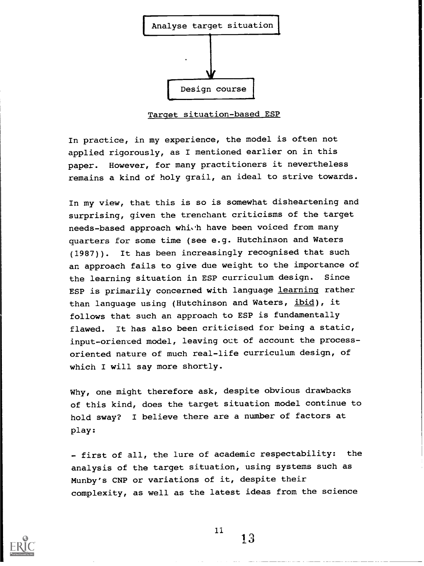

Target situation-based ESP

In practice, in my experience, the model is often not applied rigorously, as I mentioned earlier on in this paper. However, for many practitioners it nevertheless remains a kind of holy grail, an ideal to strive towards.

In my view, that this is so is somewhat disheartening and surprising, given the trenchant criticisms of the target needs-based approach which have been voiced from many quarters for some time (see e.g. Hutchinson and Waters (1987)). It has been increasingly recognised that such an approach fails to give due weight to the importance of the learning situation in ESP curriculum design. Since ESP is primarily concerned with language learning rather than language using (Hutchinson and Waters, ibid), it follows that such an approach to ESP is fundamentally flawed. It has also been criticised for being a static, input-oriented model, leaving out of account the processoriented nature of much real-life curriculum design, of which I will say more shortly.

Why, one might therefore ask, despite obvious drawbacks of this kind, does the target situation model continue to hold sway? I believe there are a number of factors at play:

- first of all, the lure of academic respectability: the analysis of the target situation, using systems such as Munby's CNP or variations of it, despite their complexity, as well as the latest ideas from the science

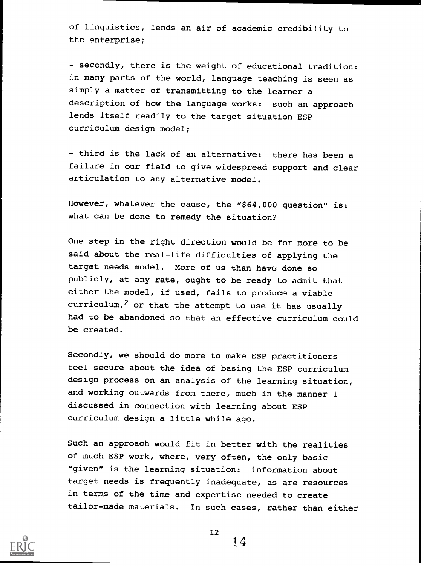of linguistics, lends an air of academic credibility to the enterprise;

- secondly, there is the weight of educational tradition: many parts of the world, language teaching is seen as simply a matter of transmitting to the learner a description of how the language works: such an approach lends itself readily to the target situation ESP curriculum design model;

- third is the lack of an alternative: there has been a failure in our field to give widespread support and clear articulation to any alternative model.

However, whatever the cause, the "\$64,000 question" is: what can be done to remedy the situation?

One step in the right direction would be for more to be said about the real-life difficulties of applying the target needs model. More of us than have done so publicly, at any rate, ought to be ready to admit that either the model, if used, fails to produce a viable curriculum,<sup>2</sup> or that the attempt to use it has usually had to be abandoned so that an effective curriculum could be created.

Secondly, we should do more to make ESP practitioners feel secure about the idea of basing the ESP curriculum design process on an analysis of the learning situation, and working outwards from there, much in the manner I discussed in connection with learning about ESP curriculum design a little while ago.

Such an approach would fit in better with the realities of much ESP work, where, very often, the only basic "given" is the learning situation: information about target needs is frequently inadequate, as are resources in terms of the time and expertise needed to create tailor-made materials. In such cases, rather than either



12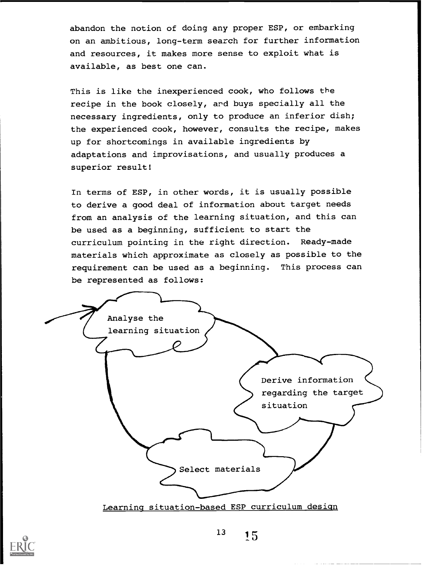abandon the notion of doing any proper ESP, or embarking on an ambitious, long-term search for further information and resources, it makes more sense to exploit what is available, as best one can.

This is like the inexperienced cook, who follows the recipe in the book closely, ard buys specially all the necessary ingredients, only to produce an inferior dish; the experienced cook, however, consults the recipe, makes up for shortcomings in available ingredients by adaptations and improvisations, and usually produces a superior result!

In terms of ESP, in other words, it is usually possible to derive a good deal of information about target needs from an analysis of the learning situation, and this can be used as a beginning, sufficient to start the curriculum pointing in the right direction. Ready-made materials which approximate as closely as possible to the requirement can be used as a beginning. This process can be represented as follows:





 $13 \t 15$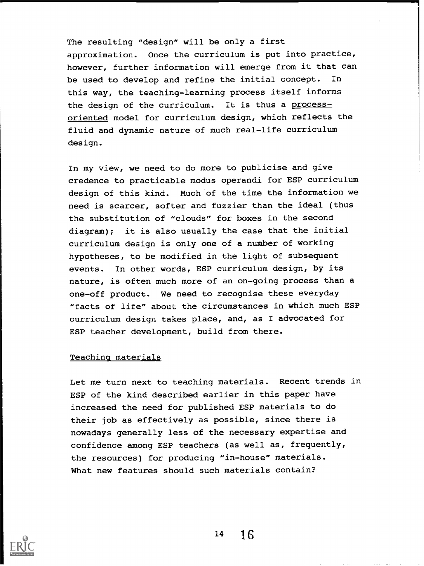The resulting "design" will be only a first approximation. Once the curriculum is put into practice, however, further information will emerge from it that can be used to develop and refine the initial concept. In this way, the teaching-learning process itself informs the design of the curriculum. It is thus a processoriented model for curriculum design, which reflects the fluid and dynamic nature of much real-life curriculum design.

In my view, we need to do more to publicise and give credence to practicable modus operandi for ESP curriculum design of this kind. Much of the time the information we need is scarcer, softer and fuzzier than the ideal (thus the substitution of "clouds" for boxes in the second diagram); it is also usually the case that the initial curriculum design is only one of a number of working hypotheses, to be modified in the light of subsequent events. In other words, ESP curriculum design, by its nature, is often much more of an on-going process than a one-off product. We need to recognise these everyday "facts of life" about the circumstances in which much ESP curriculum design takes place, and, as I advocated for ESP teacher development, build from there.

#### Teachinq materials

Let me turn next to teaching materials. Recent trends in ESP of the kind described earlier in this paper have increased the need for published ESP materials to do their job as effectively as possible, since there is nowadays generally less of the necessary expertise and confidence among ESP teachers (as well as, frequently, the resources) for producing "in-house" materials. What new features should such materials contain?

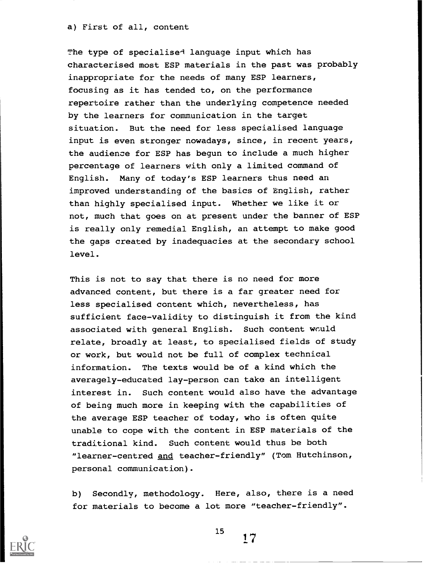#### a) First of all, content

The type of specialise<sup>d</sup> language input which has characterised most ESP materials in the past was probably inappropriate for the needs of many ESP learners, focusing as it has tended to, on the performance repertoire rather than the underlying competence needed by the learners for communication in the target situation. But the need for less specialised language input is even stronger nowadays, since, in recent years, the audience for ESP has begun to include a much higher percentage of learners with only a limited command of English. Many of today's ESP learners thus need an improved understanding of the basics of English, rather than highly specialised input. Whether we like it or not, much that goes on at present under the banner of ESP is really only remedial English, an attempt to make good the gaps created by inadequacies at the secondary school level.

This is not to say that there is no need for more advanced content, but there is a far greater need for less specialised content which, nevertheless, has sufficient face-validity to distinguish it from the kind associated with general English. Such content would relate, broadly at least, to specialised fields of study or work, but would not be full of complex technical information. The texts would be of a kind which the averagely-educated lay-person can take an intelligent interest in. Such content would also have the advantage of being much more in keeping with the capabilities of the average ESP teacher of today, who is often quite unable to cope with the content in ESP materials of the traditional kind. Such content would thus be both "learner-centred and teacher-friendly" (Tom Hutchinson, personal communication).

b) Secondly, methodology. Here, also, there is a need for materials to become a lot more "teacher-friendly".



15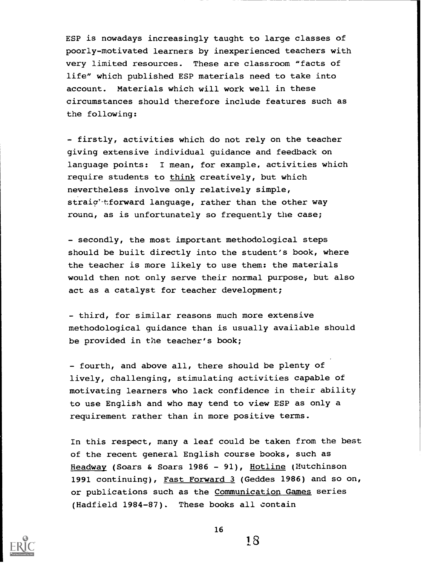ESP is nowadays increasingly taught to large classes of poorly-motivated learners by inexperienced teachers with very limited resources. These are classroom "facts of life" which published ESP materials need to take into account. Materials which will work well in these circumstances should therefore include features such as the following:

- firstly, activities which do not rely on the teacher giving extensive individual guidance and feedback on language points: I mean, for example, activities which require students to think creatively, but which nevertheless involve only relatively simple, straic'tforward language, rather than the other way rouna, as is unfortunately so frequently the case;

- secondly, the most important methodological steps should be built directly into the student's book, where the teacher is more likely to use them: the materials would then not only serve their normal purpose, but also act as a catalyst for teacher development;

- third, for similar reasons much more extensive methodological guidance than is usually available should be provided in the teacher's book;

- fourth, and above all, there should be plenty of lively, challenging, stimulating activities capable of motivating learners who lack confidence in their ability to use English and who may tend to view ESP as only a requirement rather than in more positive terms.

In this respect, many a leaf could be taken from the best of the recent general English course books, such as Headway (Soars & Soars 1986 - 91), Hotline (Hutchinson 1991 continuing), Fast Forward 3 (Geddes 1986) and so on, or publications such as the Communication Games series (Hadfield 1984-87). These books all contain

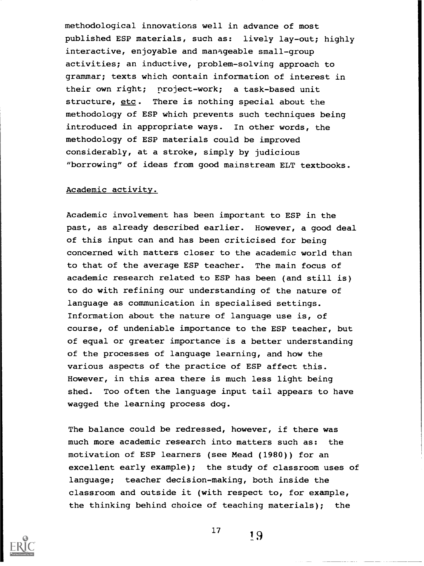methodological innovations well in advance of most published ESP materials, such as: lively lay-out; highly interactive, enjoyable and mangeable small-group activities; an inductive, problem-solving approach to grammar; texts which contain information of interest in their own right; project-work; a task-based unit structure, etc. There is nothing special about the methodology of ESP which prevents such techniques being introduced in appropriate ways. In other words, the methodology of ESP materials could be improved considerably, at a stroke, simply by judicious "borrowing" of ideas from good mainstream ELT textbooks.

# Academic activity.

Academic involvement has been important to ESP in the past, as already described earlier. However, a good deal of this input can and has been criticised for being concerned with matters closer to the academic world than to that of the average ESP teacher. The main focus of academic research related to ESP has been (and still is) to do with refining our understanding of the nature of language as communication in specialised settings. Information about the nature of language use is, of course, of undeniable importance to the ESP teacher, but of equal or greater importance is a better understanding of the processes of language learning, and how the various aspects of the practice of ESP affect this. However, in this area there is much less light being shed. Too often the language input tail appears to have wagged the learning process dog.

The balance could be redressed, however, if there was much more academic research into matters such as: the motivation of ESP learners (see Mead (1980)) for an excellent early example); the study of classroom uses of language; teacher decision-making, both inside the classroom and outside it (with respect to, for example, the thinking behind choice of teaching materials); the



17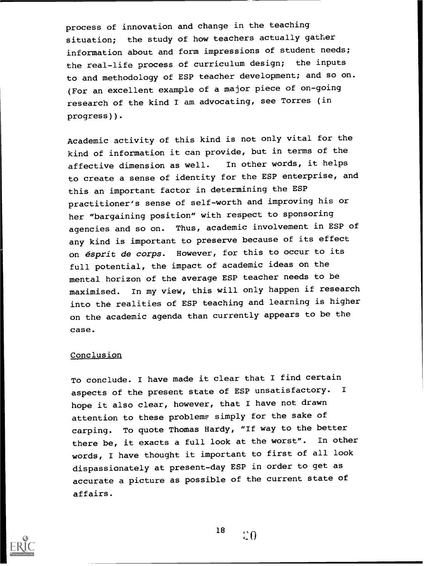process of innovation and change in the teaching situation; the study of how teachers actually gather information about and form impressions of student needs; the real-life process of curriculum design; the inputs to and methodology of ESP teacher development; and so on. (For an excellent example of a major piece of on-going research of the kind I am advocating, see Torres (in progress)).

Academic activity of this kind is not only vital for the kind of information it can provide, but in terms of the affective dimension as well. In other words, it helps to create a sense of identity for the ESP enterprise, and this an important factor in determining the ESP practitioner's sense of self-worth and improving his or her "bargaining position" with respect to sponsoring agencies and so on. Thus, academic involvement in ESP of any kind is important to preserve because of its effect on ésprit de corps. However, for this to occur to its full potential, the impact of academic ideas on the mental horizon of the average ESP teacher needs to be maximised. In my view, this will only happen if research into the realities of ESP teaching and learning is higher on the academic agenda than currently appears to be the case.

## **Conclusion**

To conclude. I have made it clear that I find certain aspects of the present state of ESP unsatisfactory. <sup>I</sup> hope it also clear, however, that I have not drawn attention to these problems simply for the sake of carping. To quote Thomas Hardy, "If way to the better there be, it exacts a full look at the worst". In other words, I have thought it important to first of all look dispassionately at present-day ESP in order to get as accurate a picture as possible of the current state of affairs.



18

 $\Omega$  0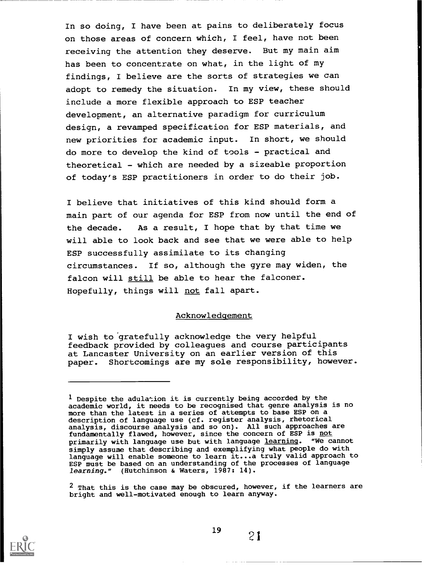In so doing, I have been at pains to deliberately focus on those areas of concern which, I feel, have not been receiving the attention they deserve. But my main aim has been to concentrate on what, in the light of my findings, I believe are the sorts of strategies we can adopt to remedy the situation. In my view, these should include a more flexible approach to ESP teacher development, an alternative paradigm for curriculum design, a revamped specification for ESP materials, and new priorities for academic input. In short, we should do more to develop the kind of tools - practical and theoretical - which are needed by a sizeable proportion of today's ESP practitioners in order to do their job.

I believe that initiatives of this kind should form a main part of our agenda for ESP from now until the end of the decade. As a result, I hope that by that time we will able to look back and see that we were able to help ESP successfully assimilate to its changing circumstances. If so, although the gyre may widen, the falcon will still be able to hear the falconer. Hopefully, things will not fall apart.

#### Acknowledgement

I wish to 'gratefully acknowledge the very helpful feedback provided by colleagues and course participants at Lancaster University on an earlier version of this paper. Shortcomings are my sole responsibility, however.

 $2$  That this is the case may be obscured, however, if the learners are bright and well-motivated enough to learn anyway.



 $<sup>1</sup>$  Despite the adulation it is currently being accorded by the</sup> academic world, it needs to be recognised that genre analysis is no more than the latest in a series of attempts to base ESP on a description of language use (cf. register analysis, rhetorical analysis, discourse analysis and so on). All such approaches are fundamentally flawed, however, since the concern of ESP is <u>not</u> primarily with language use but with language learning. "We cannot simply assume that describing and exemplifying what people do with language will enable someone to learn it...a truly valid approach to ESP must be based on an understanding of the processes of language learning." (Hutchinson & Waters, 1987: 14).